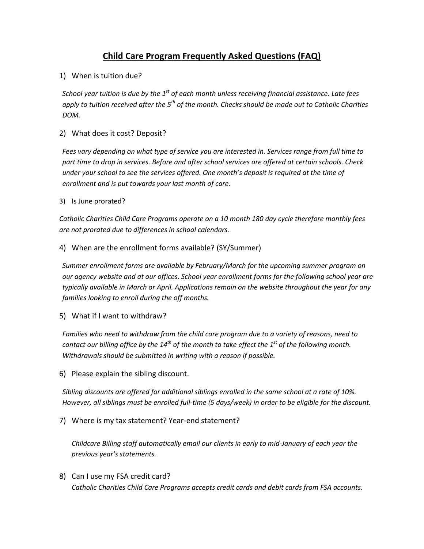# **Child Care Program Frequently Asked Questions (FAQ)**

1) When is tuition due?

*School year tuition is due by the 1st of each month unless receiving financial assistance. Late fees apply to tuition received after the 5th of the month. Checks should be made out to Catholic Charities DOM.* 

# 2) What does it cost? Deposit?

*Fees vary depending on what type of service you are interested in. Services range from full time to part time to drop in services. Before and after school services are offered at certain schools. Check under your school to see the services offered. One month's deposit is required at the time of enrollment and is put towards your last month of care.* 

#### 3) Is June prorated?

*Catholic Charities Child Care Programs operate on a 10 month 180 day cycle therefore monthly fees are not prorated due to differences in school calendars.* 

4) When are the enrollment forms available? (SY/Summer)

*Summer enrollment forms are available by February/March for the upcoming summer program on our agency website and at our offices. School year enrollment forms for the following school year are typically available in March or April. Applications remain on the website throughout the year for any families looking to enroll during the off months.*

5) What if I want to withdraw?

*Families who need to withdraw from the child care program due to a variety of reasons, need to contact our billing office by the 14th of the month to take effect the 1st of the following month. Withdrawals should be submitted in writing with a reason if possible.*

6) Please explain the sibling discount.

*Sibling discounts are offered for additional siblings enrolled in the same school at a rate of 10%. However, all siblings must be enrolled full-time (5 days/week) in order to be eligible for the discount.*

7) Where is my tax statement? Year-end statement?

*Childcare Billing staff automatically email our clients in early to mid-January of each year the previous year's statements.*

8) Can I use my FSA credit card? *Catholic Charities Child Care Programs accepts credit cards and debit cards from FSA accounts.*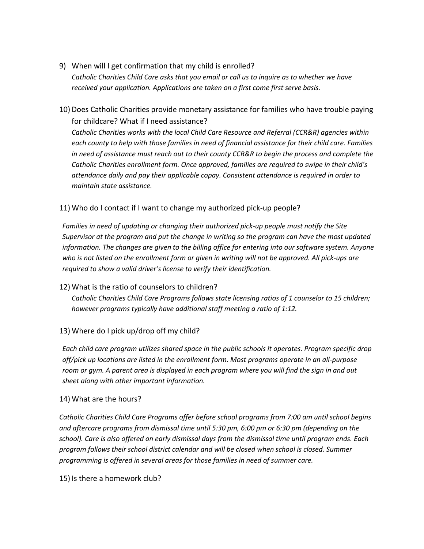- 9) When will I get confirmation that my child is enrolled? *Catholic Charities Child Care asks that you email or call us to inquire as to whether we have received your application. Applications are taken on a first come first serve basis.*
- 10) Does Catholic Charities provide monetary assistance for families who have trouble paying for childcare? What if I need assistance?

*Catholic Charities works with the local Child Care Resource and Referral (CCR&R) agencies within each county to help with those families in need of financial assistance for their child care. Families in need of assistance must reach out to their county CCR&R to begin the process and complete the Catholic Charities enrollment form. Once approved, families are required to swipe in their child's attendance daily and pay their applicable copay. Consistent attendance is required in order to maintain state assistance.*

# 11) Who do I contact if I want to change my authorized pick-up people?

*Families in need of updating or changing their authorized pick-up people must notify the Site Supervisor at the program and put the change in writing so the program can have the most updated information. The changes are given to the billing office for entering into our software system. Anyone who is not listed on the enrollment form or given in writing will not be approved. All pick-ups are required to show a valid driver's license to verify their identification.*

#### 12) What is the ratio of counselors to children?

*Catholic Charities Child Care Programs follows state licensing ratios of 1 counselor to 15 children; however programs typically have additional staff meeting a ratio of 1:12.* 

#### 13) Where do I pick up/drop off my child?

*Each child care program utilizes shared space in the public schools it operates. Program specific drop off/pick up locations are listed in the enrollment form. Most programs operate in an all-purpose room or gym. A parent area is displayed in each program where you will find the sign in and out sheet along with other important information.*

#### 14) What are the hours?

*Catholic Charities Child Care Programs offer before school programs from 7:00 am until school begins and aftercare programs from dismissal time until 5:30 pm, 6:00 pm or 6:30 pm (depending on the school). Care is also offered on early dismissal days from the dismissal time until program ends. Each program follows their school district calendar and will be closed when school is closed. Summer programming is offered in several areas for those families in need of summer care.*

15) Is there a homework club?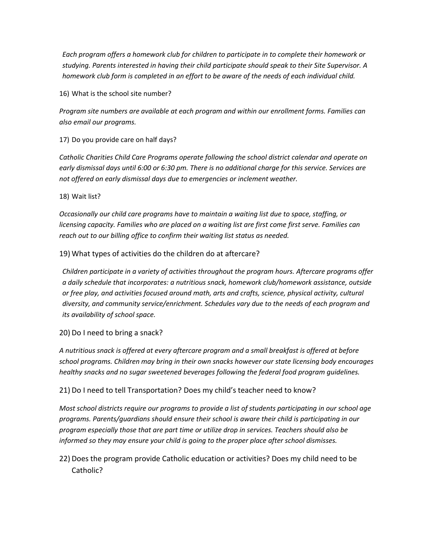*Each program offers a homework club for children to participate in to complete their homework or studying. Parents interested in having their child participate should speak to their Site Supervisor. A homework club form is completed in an effort to be aware of the needs of each individual child.* 

16) What is the school site number?

*Program site numbers are available at each program and within our enrollment forms. Families can also email our programs.* 

17) Do you provide care on half days?

*Catholic Charities Child Care Programs operate following the school district calendar and operate on early dismissal days until 6:00 or 6:30 pm. There is no additional charge for this service. Services are not offered on early dismissal days due to emergencies or inclement weather.*

18) Wait list?

*Occasionally our child care programs have to maintain a waiting list due to space, staffing, or licensing capacity. Families who are placed on a waiting list are first come first serve. Families can reach out to our billing office to confirm their waiting list status as needed.* 

19) What types of activities do the children do at aftercare?

*Children participate in a variety of activities throughout the program hours. Aftercare programs offer a daily schedule that incorporates: a nutritious snack, homework club/homework assistance, outside or free play, and activities focused around math, arts and crafts, science, physical activity, cultural diversity, and community service/enrichment. Schedules vary due to the needs of each program and its availability of school space.* 

20) Do I need to bring a snack?

*A nutritious snack is offered at every aftercare program and a small breakfast is offered at before school programs. Children may bring in their own snacks however our state licensing body encourages healthy snacks and no sugar sweetened beverages following the federal food program guidelines.*

21) Do I need to tell Transportation? Does my child's teacher need to know?

*Most school districts require our programs to provide a list of students participating in our school age programs. Parents/guardians should ensure their school is aware their child is participating in our program especially those that are part time or utilize drop in services. Teachers should also be informed so they may ensure your child is going to the proper place after school dismisses.*

22) Does the program provide Catholic education or activities? Does my child need to be Catholic?